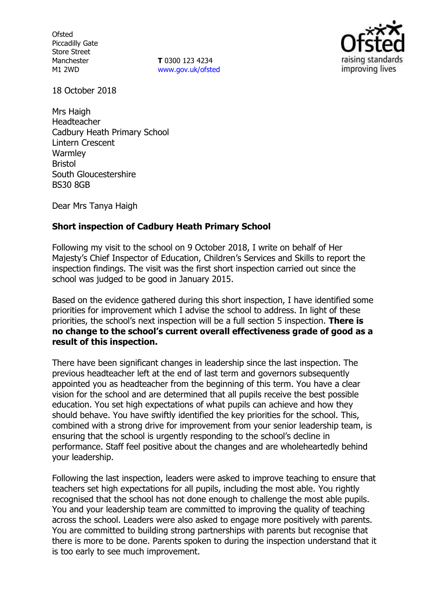**Ofsted** Piccadilly Gate Store Street Manchester M1 2WD

**T** 0300 123 4234 www.gov.uk/ofsted



18 October 2018

Mrs Haigh Headteacher Cadbury Heath Primary School Lintern Crescent **Warmley** Bristol South Gloucestershire BS30 8GB

Dear Mrs Tanya Haigh

# **Short inspection of Cadbury Heath Primary School**

Following my visit to the school on 9 October 2018, I write on behalf of Her Majesty's Chief Inspector of Education, Children's Services and Skills to report the inspection findings. The visit was the first short inspection carried out since the school was judged to be good in January 2015.

Based on the evidence gathered during this short inspection, I have identified some priorities for improvement which I advise the school to address. In light of these priorities, the school's next inspection will be a full section 5 inspection. **There is no change to the school's current overall effectiveness grade of good as a result of this inspection.**

There have been significant changes in leadership since the last inspection. The previous headteacher left at the end of last term and governors subsequently appointed you as headteacher from the beginning of this term. You have a clear vision for the school and are determined that all pupils receive the best possible education. You set high expectations of what pupils can achieve and how they should behave. You have swiftly identified the key priorities for the school. This, combined with a strong drive for improvement from your senior leadership team, is ensuring that the school is urgently responding to the school's decline in performance. Staff feel positive about the changes and are wholeheartedly behind your leadership.

Following the last inspection, leaders were asked to improve teaching to ensure that teachers set high expectations for all pupils, including the most able. You rightly recognised that the school has not done enough to challenge the most able pupils. You and your leadership team are committed to improving the quality of teaching across the school. Leaders were also asked to engage more positively with parents. You are committed to building strong partnerships with parents but recognise that there is more to be done. Parents spoken to during the inspection understand that it is too early to see much improvement.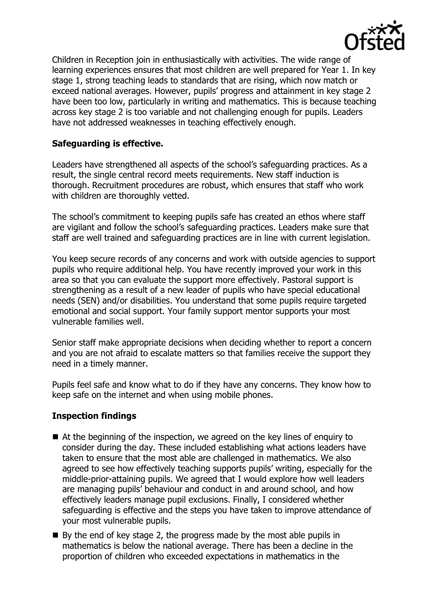

Children in Reception join in enthusiastically with activities. The wide range of learning experiences ensures that most children are well prepared for Year 1. In key stage 1, strong teaching leads to standards that are rising, which now match or exceed national averages. However, pupils' progress and attainment in key stage 2 have been too low, particularly in writing and mathematics. This is because teaching across key stage 2 is too variable and not challenging enough for pupils. Leaders have not addressed weaknesses in teaching effectively enough.

# **Safeguarding is effective.**

Leaders have strengthened all aspects of the school's safeguarding practices. As a result, the single central record meets requirements. New staff induction is thorough. Recruitment procedures are robust, which ensures that staff who work with children are thoroughly vetted.

The school's commitment to keeping pupils safe has created an ethos where staff are vigilant and follow the school's safeguarding practices. Leaders make sure that staff are well trained and safeguarding practices are in line with current legislation.

You keep secure records of any concerns and work with outside agencies to support pupils who require additional help. You have recently improved your work in this area so that you can evaluate the support more effectively. Pastoral support is strengthening as a result of a new leader of pupils who have special educational needs (SEN) and/or disabilities. You understand that some pupils require targeted emotional and social support. Your family support mentor supports your most vulnerable families well.

Senior staff make appropriate decisions when deciding whether to report a concern and you are not afraid to escalate matters so that families receive the support they need in a timely manner.

Pupils feel safe and know what to do if they have any concerns. They know how to keep safe on the internet and when using mobile phones.

# **Inspection findings**

- At the beginning of the inspection, we agreed on the key lines of enquiry to consider during the day. These included establishing what actions leaders have taken to ensure that the most able are challenged in mathematics. We also agreed to see how effectively teaching supports pupils' writing, especially for the middle-prior-attaining pupils. We agreed that I would explore how well leaders are managing pupils' behaviour and conduct in and around school, and how effectively leaders manage pupil exclusions. Finally, I considered whether safeguarding is effective and the steps you have taken to improve attendance of your most vulnerable pupils.
- By the end of key stage 2, the progress made by the most able pupils in mathematics is below the national average. There has been a decline in the proportion of children who exceeded expectations in mathematics in the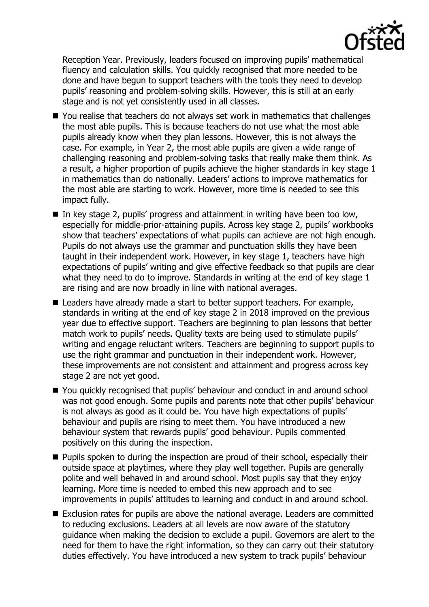

Reception Year. Previously, leaders focused on improving pupils' mathematical fluency and calculation skills. You quickly recognised that more needed to be done and have begun to support teachers with the tools they need to develop pupils' reasoning and problem-solving skills. However, this is still at an early stage and is not yet consistently used in all classes.

- You realise that teachers do not always set work in mathematics that challenges the most able pupils. This is because teachers do not use what the most able pupils already know when they plan lessons. However, this is not always the case. For example, in Year 2, the most able pupils are given a wide range of challenging reasoning and problem-solving tasks that really make them think. As a result, a higher proportion of pupils achieve the higher standards in key stage 1 in mathematics than do nationally. Leaders' actions to improve mathematics for the most able are starting to work. However, more time is needed to see this impact fully.
- In key stage 2, pupils' progress and attainment in writing have been too low. especially for middle-prior-attaining pupils. Across key stage 2, pupils' workbooks show that teachers' expectations of what pupils can achieve are not high enough. Pupils do not always use the grammar and punctuation skills they have been taught in their independent work. However, in key stage 1, teachers have high expectations of pupils' writing and give effective feedback so that pupils are clear what they need to do to improve. Standards in writing at the end of key stage 1 are rising and are now broadly in line with national averages.
- Leaders have already made a start to better support teachers. For example, standards in writing at the end of key stage 2 in 2018 improved on the previous year due to effective support. Teachers are beginning to plan lessons that better match work to pupils' needs. Quality texts are being used to stimulate pupils' writing and engage reluctant writers. Teachers are beginning to support pupils to use the right grammar and punctuation in their independent work. However, these improvements are not consistent and attainment and progress across key stage 2 are not yet good.
- You quickly recognised that pupils' behaviour and conduct in and around school was not good enough. Some pupils and parents note that other pupils' behaviour is not always as good as it could be. You have high expectations of pupils' behaviour and pupils are rising to meet them. You have introduced a new behaviour system that rewards pupils' good behaviour. Pupils commented positively on this during the inspection.
- **Pupils spoken to during the inspection are proud of their school, especially their** outside space at playtimes, where they play well together. Pupils are generally polite and well behaved in and around school. Most pupils say that they enjoy learning. More time is needed to embed this new approach and to see improvements in pupils' attitudes to learning and conduct in and around school.
- Exclusion rates for pupils are above the national average. Leaders are committed to reducing exclusions. Leaders at all levels are now aware of the statutory guidance when making the decision to exclude a pupil. Governors are alert to the need for them to have the right information, so they can carry out their statutory duties effectively. You have introduced a new system to track pupils' behaviour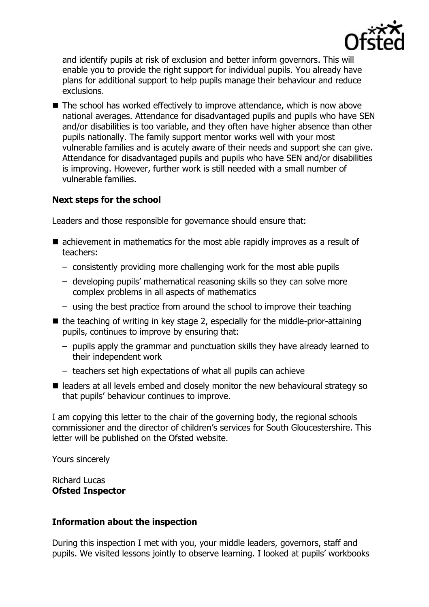

and identify pupils at risk of exclusion and better inform governors. This will enable you to provide the right support for individual pupils. You already have plans for additional support to help pupils manage their behaviour and reduce exclusions.

■ The school has worked effectively to improve attendance, which is now above national averages. Attendance for disadvantaged pupils and pupils who have SEN and/or disabilities is too variable, and they often have higher absence than other pupils nationally. The family support mentor works well with your most vulnerable families and is acutely aware of their needs and support she can give. Attendance for disadvantaged pupils and pupils who have SEN and/or disabilities is improving. However, further work is still needed with a small number of vulnerable families.

# **Next steps for the school**

Leaders and those responsible for governance should ensure that:

- achievement in mathematics for the most able rapidly improves as a result of teachers:
	- consistently providing more challenging work for the most able pupils
	- developing pupils' mathematical reasoning skills so they can solve more complex problems in all aspects of mathematics
	- using the best practice from around the school to improve their teaching
- $\blacksquare$  the teaching of writing in key stage 2, especially for the middle-prior-attaining pupils, continues to improve by ensuring that:
	- pupils apply the grammar and punctuation skills they have already learned to their independent work
	- teachers set high expectations of what all pupils can achieve
- $\blacksquare$  leaders at all levels embed and closely monitor the new behavioural strategy so that pupils' behaviour continues to improve.

I am copying this letter to the chair of the governing body, the regional schools commissioner and the director of children's services for South Gloucestershire. This letter will be published on the Ofsted website.

Yours sincerely

Richard Lucas **Ofsted Inspector**

#### **Information about the inspection**

During this inspection I met with you, your middle leaders, governors, staff and pupils. We visited lessons jointly to observe learning. I looked at pupils' workbooks